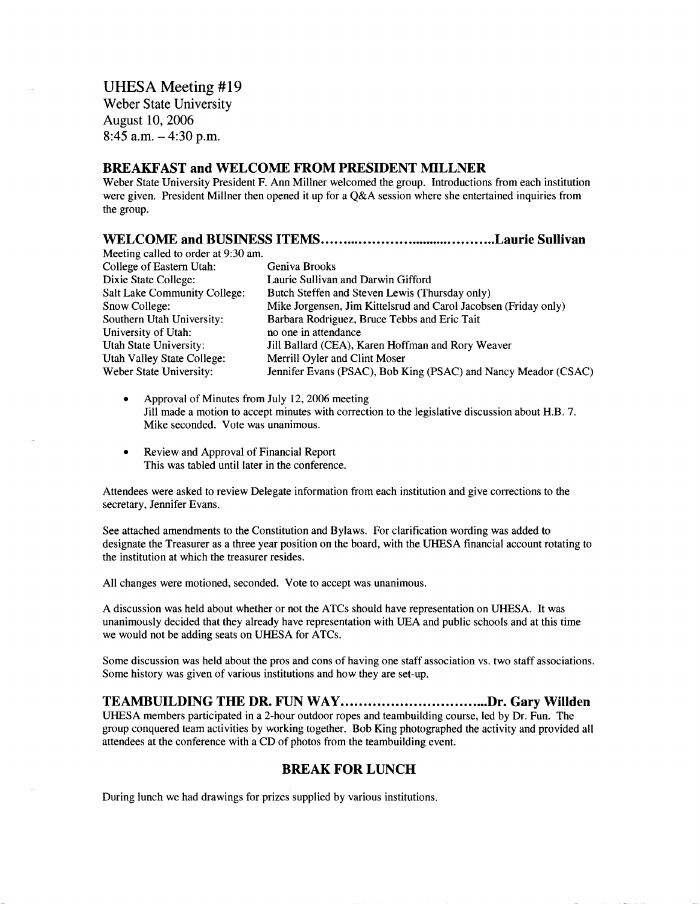UHESA Meeting #19 Weber State University August 10, 2006 8:45 a.m.  $-4:30$  p.m.

#### **BREAKFAST and WELCOME FROM PRESIDENT MILLNER**

Weber State University President F. Ann Millner welcomed the group. Introductions from each institution were given. President Millner then opened it up for a Q&A session where she entertained inquiries from the group.

#### **WELCOME and BUSINESS ITEMS Laurie Sullivan**

| Geniva Brooks                                                   |
|-----------------------------------------------------------------|
| Laurie Sullivan and Darwin Gifford                              |
| Butch Steffen and Steven Lewis (Thursday only)                  |
| Mike Jorgensen, Jim Kittelsrud and Carol Jacobsen (Friday only) |
| Barbara Rodriguez, Bruce Tebbs and Eric Tait                    |
| no one in attendance                                            |
| Jill Ballard (CEA), Karen Hoffman and Rory Weaver               |
| Merrill Oyler and Clint Moser                                   |
| Jennifer Evans (PSAC), Bob King (PSAC) and Nancy Meador (CSAC)  |
|                                                                 |

- Approval of Minutes from July 12, 2006 meeting Jill made a motion to accept minutes with correction to the legislative discussion about H.B. 7. Mike seconded. Vote was unanimous.
- Review and Approval of Financial Report This was tabled until later in the conference.

Attendees were asked to review Delegate information from each institution and give corrections to the secretary, Jennifer Evans.

See attached amendments to the Constitution and Bylaws. For clarification wording was added to designate the Treasurer as a three year position on the board, with the UHESA financial account rotating to the institution at which the treasurer resides.

All changes were motioned, seconded. Vote to accept was unanimous.

A discussion was held about whether or not the ATCs should have representation on UHESA. It was unanimously decided that they already have representation with UEA and public schools and at this time we would not be adding seats on UHESA for ATCs.

Some discussion was held about the pros and cons of having one staff association vs. two staff associations. Some history was given of various institutions and how they are set-up.

# **TEAMBUILDING THE DR. FUN WAY.................................Dr. Gary Willden**

UHESA members participated in a 2-hour outdoor ropes and teambuilding course, led by Dr. Fun. The group conquered team activities by working together. Bob King photographed the activity and provided all attendees at the conference with a CD of photos from the teambuilding event.

## **BREAK FOR LUNCH**

During lunch we had drawings for prizes supplied by various institutions.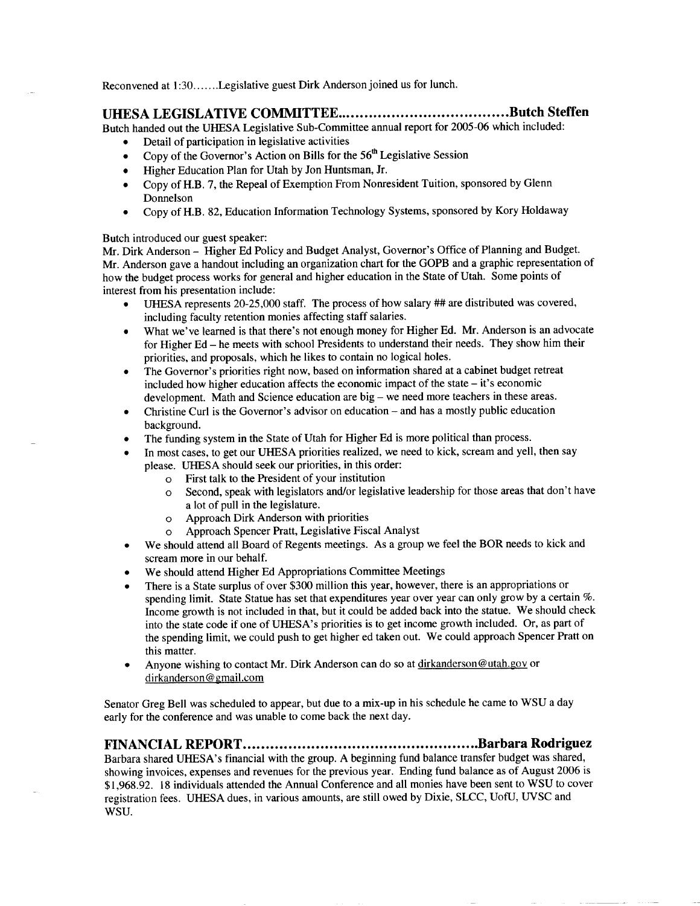Reconvened at 1:30.......Legislative guest Dirk Anderson joined us for lunch.

# **UHESA LEGISLATIVE COMMITTEE Butch Steffen**

Butch handed out the UHESA Legislative Sub-Committee annual report for 2005-06 which included:

- Detail of participation in legislative activities
- Copy of the Governor's Action on Bills for the  $56<sup>th</sup>$  Legislative Session
- Higher Education Plan for Utah by Jon Huntsman, Jr.
- Copy of H.B. 7, the Repeal of Exemption From Nonresident Tuition, sponsored by Glenn Donnelson
- Copy of H.B. 82, Education Information Technology Systems, sponsored by Kory Holdaway

#### Butch introduced our guest speaker:

Mr. Dirk Anderson - Higher Ed Policy and Budget Analyst, Governor's Office of Planning and Budget. Mr. Anderson gave a handout including an organization chart for the GOPB and a graphic representation of how the budget process works for general and higher education in the State of Utah. Some points of interest from his presentation include:

- UHESA represents 20-25,000 staff. The process of how salary ## are distributed was covered, including faculty retention monies affecting staff salaries.
- What we've learned is that there's not enough money for Higher Ed. Mr. Anderson is an advocate for Higher Ed - he meets with school Presidents to understand their needs. They show him their priorities, and proposals, which he likes to contain no logical holes.
- The Governor's priorities right now, based on information shared at a cabinet budget retreat included how higher education affects the economic impact of the state - it's economic development. Math and Science education are big - we need more teachers in these areas.
- Christine Curl is the Governor's advisor on education and has a mostly public education background.
- The funding system in the State of Utah for Higher Ed is more political than process.
- In most cases, to get our UHESA priorities realized, we need to kick, scream and yell, then say please. UHESA should seek our priorities, in this order:
	- o First talk to the President of your institution
	- o Second, speak with legislators and/or legislative leadership for those areas that don't have a lot of pull in the legislature,
	- o Approach Dirk Anderson with priorities
	- o Approach Spencer Pratt, Legislative Fiscal Analyst
- We should attend all Board of Regents meetings. As a group we feel the BOR needs to kick and scream more in our behalf.
- We should attend Higher Ed Appropriations Committee Meetings
- There is a State surplus of over \$300 million this year, however, there is an appropriations or spending limit. State Statue has set that expenditures year over year can only grow by a certain %. Income growth is not included in that, but it could be added back into the statue. We should check into the state code if one of UHESA's priorities is to get income growth included. Or, as part of the spending limit, we could push to get higher ed taken out. We could approach Spencer Pratt on this matter.
- Anyone wishing to contact Mr. Dirk Anderson can do so at dirkanderson@utah.gov or dirkanderson@gmail.com

Senator Greg Bell was scheduled to appear, but due to a mix-up in his schedule he came to WSU a day early for the conference and was unable to come back the next day.

## **FINANCIAL REPORT Barbara Rodriguez**

Barbara shared UHESA's financial with the group. A beginning fund balance transfer budget was shared, showing invoices, expenses and revenues for the previous year. Ending fund balance as of August 2006 is \$1,968.92. 18 individuals attended the Annual Conference and all monies have been sent to WSU to cover registration fees. UHESA dues, in various amounts, are still owed by Dixie, SLCC, UofU, UVSC and WSU.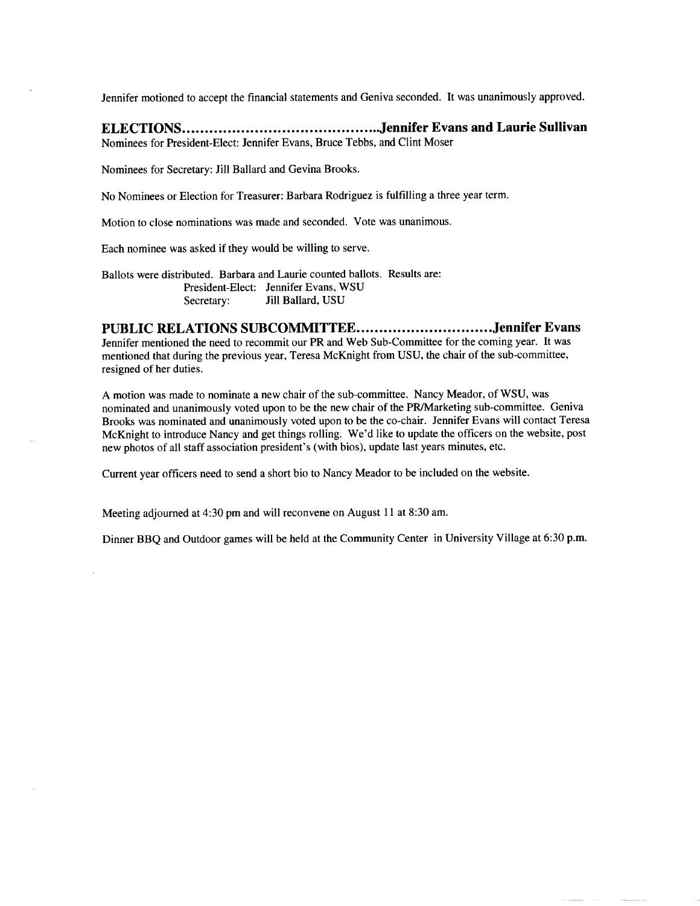Jennifer motioned to accept the financial statements and Geniva seconded. It was unanimously approved.

# **ELECTIONS Jennifer Evans and Laurie Sullivan**

Nominees for President-Elect: Jennifer Evans, Bruce Tebbs, and Clint Moser

Nominees for Secretary: Jill Ballard and Gevina Brooks.

No Nominees or Election for Treasurer: Barbara Rodriguez is fulfilling a three year term.

Motion to close nominations was made and seconded. Vote was unanimous.

Each nominee was asked if they would be willing to serve.

Ballots were distributed. Barbara and Laurie counted ballots. Results are: President-Elect: Jennifer Evans, WSU Secretary: Jill Ballard, USU

#### **PUBLIC RELATIONS SUBCOMMITTEE Jennifer Evans**

Jennifer mentioned the need to recommit our PR and Web Sub-Committee for the coming year. It was mentioned that during the previous year, Teresa McKnight from USU, the chair of the sub-committee, resigned of her duties.

A motion was made to nominate a new chair of the sub-committee. Nancy Meador, of WSU, was nominated and unanimously voted upon to be the new chair of the PR/Marketing sub-committee. Geniva Brooks was nominated and unanimously voted upon to be the co-chair. Jennifer Evans will contact Teresa McKnight to introduce Nancy and get things rolling. We'd like to update the officers on the website, post new photos of all staff association president's (with bios), update last years minutes, etc.

Current year officers need to send a short bio to Nancy Meador to be included on the website.

Meeting adjourned at 4:30 pm and will reconvene on August 11 at 8:30 am.

Dinner BBQ and Outdoor games will be held at the Community Center in University Village at 6:30 p.m.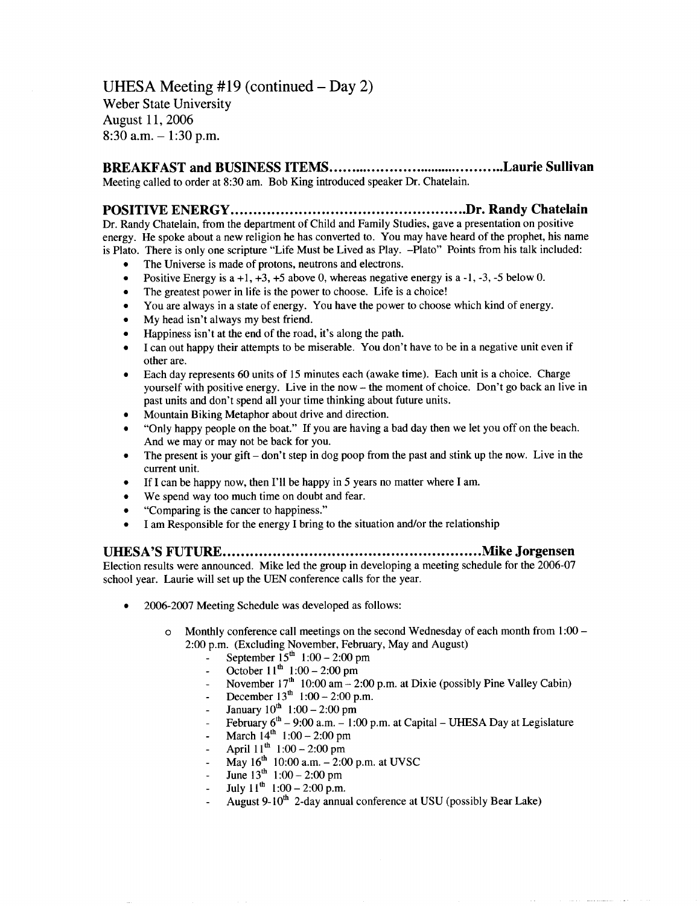UHESA Meeting #19 (continued  $-$  Day 2) Weber State University August 11, 2006  $8:30$  a.m.  $-1:30$  p.m.

**BREAKFAST and BUSINESS ITEMS Laurie Sullivan** Meeting called to order at 8:30 am. Bob King introduced speaker Dr. Chatelain.

## **POSITIVE ENERGY Dr. Randy Chatelain**

Dr. Randy Chatelain, from the department of Child and Family Studies, gave a presentation on positive energy. He spoke about a new religion he has converted to. You may have heard of the prophet, his name is Plato. There is only one scripture "Life Must be Lived as Play. -Plato" Points from his talk included:

- The Universe is made of protons, neutrons and electrons.
- Positive Energy is  $a +1$ ,  $+3$ ,  $+5$  above 0, whereas negative energy is  $a -1$ ,  $-3$ ,  $-5$  below 0.
- The greatest power in life is the power to choose. Life is a choice!
- You are always in a state of energy. You have the power to choose which kind of energy.
- My head isn't always my best friend.
- Happiness isn't at the end of the road, it's along the path.
- I can out happy their attempts to be miserable. You don't have to be in a negative unit even if other are.
- Each day represents 60 units of 15 minutes each (awake time). Each unit is a choice. Charge yourself with positive energy. Live in the now - the moment of choice. Don't go back an live in past units and don't spend all your time thinking about future units.
- Mountain Biking Metaphor about drive and direction.
- "Only happy people on the boat." If you are having a bad day then we let you off on the beach. And we may or may not be back for you.
- The present is your gift  $-\text{don't step in dog poop from the past and stink up the now. Live in the$ current unit.
- If I can be happy now, then I'll be happy in 5 years no matter where I am.
- We spend way too much time on doubt and fear.
- "Comparing is the cancer to happiness."
- I am Responsible for the energy I bring to the situation and/or the relationship

**UHESA'S FUTURE Mike Jorgensen**

Election results were announced. Mike led the group in developing a meeting schedule for the 2006-07 school year. Laurie will set up the UEN conference calls for the year.

- 2006-2007 Meeting Schedule was developed as follows:
	- $\circ$  Monthly conference call meetings on the second Wednesday of each month from 1:00 2:00 p.m. (Excluding November, February, May and August)
		- September  $15^{th}$  1:00 2:00 pm
		- October  $11^{th}$  1:00 2:00 pm
		- November  $17<sup>th</sup> 10:00$  am  $2:00$  p.m. at Dixie (possibly Pine Valley Cabin)
		- December  $13^{th}$  1:00 2:00 p.m.
		- January  $10^{th}$  1:00 2:00 pm
		- February  $6<sup>th</sup> 9:00$  a.m.  $-1:00$  p.m. at Capital UHESA Day at Legislature
		- March  $14^{th}$  1:00 2:00 pm
		- April  $11^{th}$  1:00 2:00 pm
		- $-$  May 16<sup>th</sup> 10:00 a.m.  $-2:00$  p.m. at UVSC
		- June  $13^{th}$  1:00 2:00 pm
		- July  $11^{th}$  1:00 2:00 p.m.
		- August  $9-10^{th}$  2-day annual conference at USU (possibly Bear Lake)